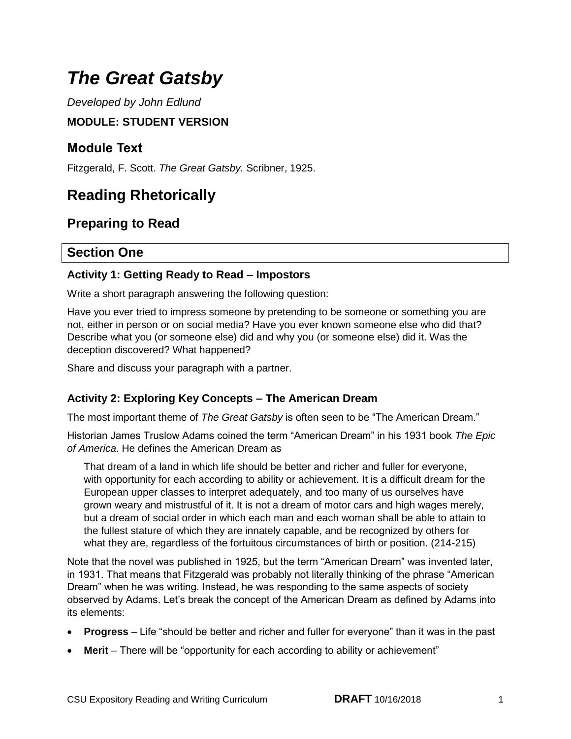# *The Great Gatsby*

 *Developed by John Edlund* 

### **MODULE: STUDENT VERSION**

### **Module Text**

Fitzgerald, F. Scott. *The Great Gatsby.* Scribner, 1925.

# **Reading Rhetorically**

### **Preparing to Read**

### **Section One**

#### **Activity 1: Getting Ready to Read – Impostors**

Write a short paragraph answering the following question:

 Have you ever tried to impress someone by pretending to be someone or something you are not, either in person or on social media? Have you ever known someone else who did that? Describe what you (or someone else) did and why you (or someone else) did it. Was the deception discovered? What happened?

Share and discuss your paragraph with a partner.

#### **Activity 2: Exploring Key Concepts – The American Dream**

The most important theme of *The Great Gatsby* is often seen to be "The American Dream."

 Historian James Truslow Adams coined the term "American Dream" in his 1931 book *The Epic of America*. He defines the American Dream as

 That dream of a land in which life should be better and richer and fuller for everyone, with opportunity for each according to ability or achievement. It is a difficult dream for the European upper classes to interpret adequately, and too many of us ourselves have grown weary and mistrustful of it. It is not a dream of motor cars and high wages merely, but a dream of social order in which each man and each woman shall be able to attain to the fullest stature of which they are innately capable, and be recognized by others for what they are, regardless of the fortuitous circumstances of birth or position. (214-215)

 Note that the novel was published in 1925, but the term "American Dream" was invented later, in 1931. That means that Fitzgerald was probably not literally thinking of the phrase "American Dream" when he was writing. Instead, he was responding to the same aspects of society observed by Adams. Let's break the concept of the American Dream as defined by Adams into its elements:

- **Progress**  Life "should be better and richer and fuller for everyone" than it was in the past
- **Merit**  There will be "opportunity for each according to ability or achievement"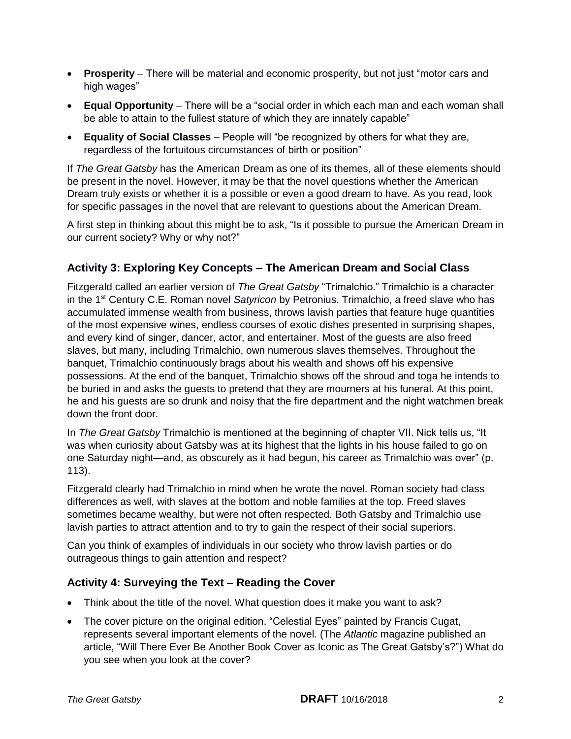- **Prosperity**  There will be material and economic prosperity, but not just "motor cars and high wages"
- **Equal Opportunity**  There will be a "social order in which each man and each woman shall be able to attain to the fullest stature of which they are innately capable"
- **Equality of Social Classes**  People will "be recognized by others for what they are, regardless of the fortuitous circumstances of birth or position"

 If *The Great Gatsby* has the American Dream as one of its themes, all of these elements should be present in the novel. However, it may be that the novel questions whether the American Dream truly exists or whether it is a possible or even a good dream to have. As you read, look for specific passages in the novel that are relevant to questions about the American Dream.

 A first step in thinking about this might be to ask, "Is it possible to pursue the American Dream in our current society? Why or why not?"

#### **Activity 3: Exploring Key Concepts – The American Dream and Social Class**

 Fitzgerald called an earlier version of *The Great Gatsby* "Trimalchio." Trimalchio is a character in the 1<sup>st</sup> Century C.E. Roman novel Satyricon by Petronius. Trimalchio, a freed slave who has accumulated immense wealth from business, throws lavish parties that feature huge quantities of the most expensive wines, endless courses of exotic dishes presented in surprising shapes, and every kind of singer, dancer, actor, and entertainer. Most of the guests are also freed slaves, but many, including Trimalchio, own numerous slaves themselves. Throughout the banquet, Trimalchio continuously brags about his wealth and shows off his expensive possessions. At the end of the banquet, Trimalchio shows off the shroud and toga he intends to be buried in and asks the guests to pretend that they are mourners at his funeral. At this point, he and his guests are so drunk and noisy that the fire department and the night watchmen break down the front door.

 In *The Great Gatsby* Trimalchio is mentioned at the beginning of chapter VII. Nick tells us, "It was when curiosity about Gatsby was at its highest that the lights in his house failed to go on one Saturday night—and, as obscurely as it had begun, his career as Trimalchio was over" (p.  $113$ ).

113).<br>Fitzgerald clearly had Trimalchio in mind when he wrote the novel. Roman society had class differences as well, with slaves at the bottom and noble families at the top. Freed slaves sometimes became wealthy, but were not often respected. Both Gatsby and Trimalchio use lavish parties to attract attention and to try to gain the respect of their social superiors.

 Can you think of examples of individuals in our society who throw lavish parties or do outrageous things to gain attention and respect?

#### **Activity 4: Surveying the Text – Reading the Cover**

- Think about the title of the novel. What question does it make you want to ask?
- The cover picture on the original edition, "Celestial Eyes" painted by Francis Cugat, represents several important elements of the novel. (The *Atlantic* magazine published an article, "Will There Ever Be Another Book Cover as Iconic as The Great Gatsby's?") What do you see when you look at the cover?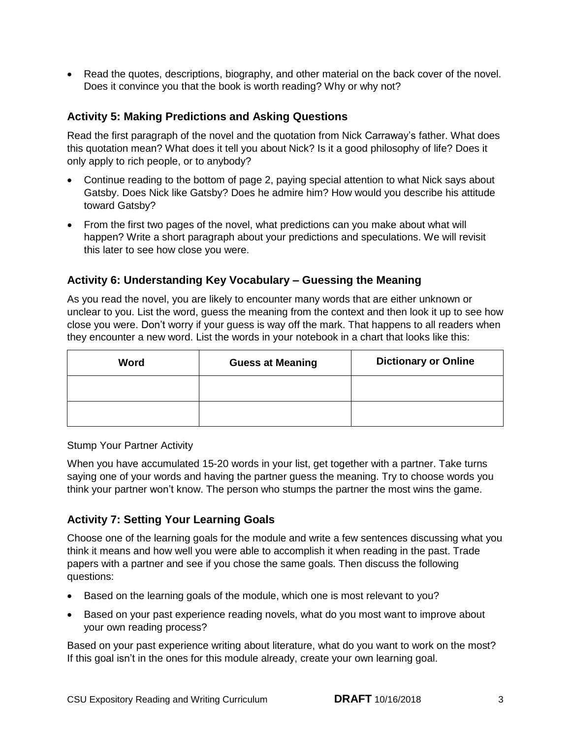Read the quotes, descriptions, biography, and other material on the back cover of the novel. Does it convince you that the book is worth reading? Why or why not?

#### **Activity 5: Making Predictions and Asking Questions**

 Read the first paragraph of the novel and the quotation from Nick Carraway's father. What does this quotation mean? What does it tell you about Nick? Is it a good philosophy of life? Does it only apply to rich people, or to anybody?

- Continue reading to the bottom of page 2, paying special attention to what Nick says about Gatsby. Does Nick like Gatsby? Does he admire him? How would you describe his attitude toward Gatsby?
- From the first two pages of the novel, what predictions can you make about what will happen? Write a short paragraph about your predictions and speculations. We will revisit this later to see how close you were.

#### **Activity 6: Understanding Key Vocabulary – Guessing the Meaning**

 As you read the novel, you are likely to encounter many words that are either unknown or unclear to you. List the word, guess the meaning from the context and then look it up to see how close you were. Don't worry if your guess is way off the mark. That happens to all readers when they encounter a new word. List the words in your notebook in a chart that looks like this:

| Word | <b>Guess at Meaning</b> | <b>Dictionary or Online</b> |
|------|-------------------------|-----------------------------|
|      |                         |                             |
|      |                         |                             |

Stump Your Partner Activity

 When you have accumulated 15-20 words in your list, get together with a partner. Take turns saying one of your words and having the partner guess the meaning. Try to choose words you think your partner won't know. The person who stumps the partner the most wins the game.

#### **Activity 7: Setting Your Learning Goals**

 Choose one of the learning goals for the module and write a few sentences discussing what you think it means and how well you were able to accomplish it when reading in the past. Trade papers with a partner and see if you chose the same goals. Then discuss the following questions:

- Based on the learning goals of the module, which one is most relevant to you?
- your own reading process? • Based on your past experience reading novels, what do you most want to improve about

 Based on your past experience writing about literature, what do you want to work on the most? If this goal isn't in the ones for this module already, create your own learning goal.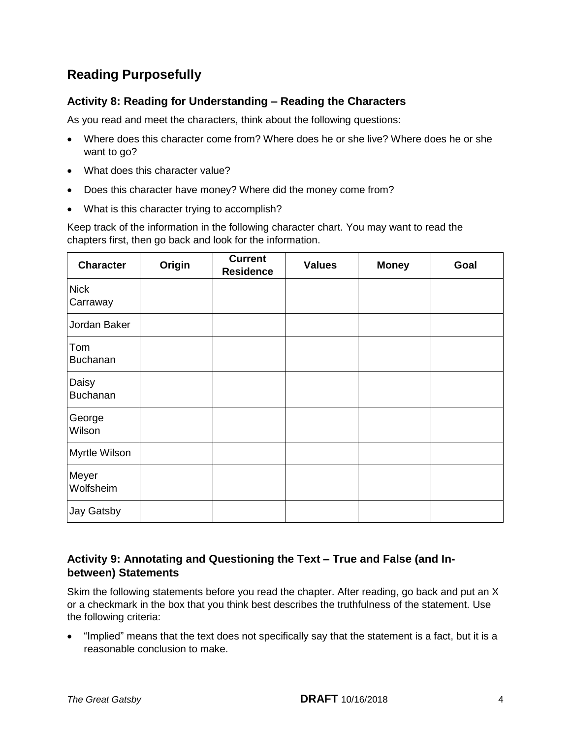### **Reading Purposefully**

#### **Activity 8: Reading for Understanding – Reading the Characters**

As you read and meet the characters, think about the following questions:

- Where does this character come from? Where does he or she live? Where does he or she want to go?
- What does this character value?
- Does this character have money? Where did the money come from?
- What is this character trying to accomplish?

 Keep track of the information in the following character chart. You may want to read the chapters first, then go back and look for the information.

| <b>Character</b>        | Origin | <b>Current</b><br><b>Residence</b> | <b>Values</b> | <b>Money</b> | Goal |
|-------------------------|--------|------------------------------------|---------------|--------------|------|
| <b>Nick</b><br>Carraway |        |                                    |               |              |      |
| Jordan Baker            |        |                                    |               |              |      |
| Tom<br>Buchanan         |        |                                    |               |              |      |
| Daisy<br>Buchanan       |        |                                    |               |              |      |
| George<br>Wilson        |        |                                    |               |              |      |
| Myrtle Wilson           |        |                                    |               |              |      |
| Meyer<br>Wolfsheim      |        |                                    |               |              |      |
| Jay Gatsby              |        |                                    |               |              |      |

#### **Activity 9: Annotating and Questioning the Text – True and False (and Inbetween) Statements**

 Skim the following statements before you read the chapter. After reading, go back and put an X or a checkmark in the box that you think best describes the truthfulness of the statement. Use the following criteria:

 "Implied" means that the text does not specifically say that the statement is a fact, but it is a reasonable conclusion to make.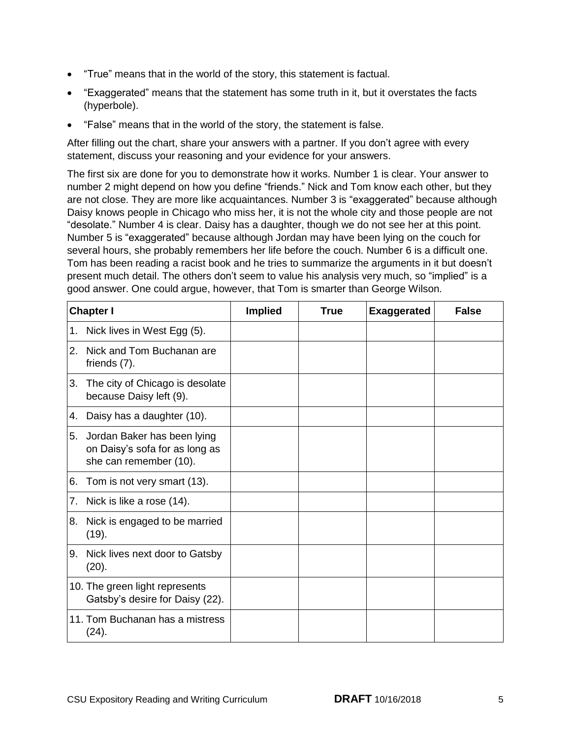- "True" means that in the world of the story, this statement is factual.
- "Exaggerated" means that the statement has some truth in it, but it overstates the facts (hyperbole).
- "False" means that in the world of the story, the statement is false.

 After filling out the chart, share your answers with a partner. If you don't agree with every statement, discuss your reasoning and your evidence for your answers.

 The first six are done for you to demonstrate how it works. Number 1 is clear. Your answer to number 2 might depend on how you define "friends." Nick and Tom know each other, but they are not close. They are more like acquaintances. Number 3 is "exaggerated" because although Daisy knows people in Chicago who miss her, it is not the whole city and those people are not "desolate." Number 4 is clear. Daisy has a daughter, though we do not see her at this point. Number 5 is "exaggerated" because although Jordan may have been lying on the couch for several hours, she probably remembers her life before the couch. Number 6 is a difficult one. Tom has been reading a racist book and he tries to summarize the arguments in it but doesn't present much detail. The others don't seem to value his analysis very much, so "implied" is a good answer. One could argue, however, that Tom is smarter than George Wilson.

|    | <b>Chapter I</b>                                                                        | <b>Implied</b> | <b>True</b> | <b>Exaggerated</b> | <b>False</b> |
|----|-----------------------------------------------------------------------------------------|----------------|-------------|--------------------|--------------|
| 1. | Nick lives in West Egg (5).                                                             |                |             |                    |              |
| 2. | Nick and Tom Buchanan are<br>friends (7).                                               |                |             |                    |              |
| 3. | The city of Chicago is desolate<br>because Daisy left (9).                              |                |             |                    |              |
| 4. | Daisy has a daughter (10).                                                              |                |             |                    |              |
| 5. | Jordan Baker has been lying<br>on Daisy's sofa for as long as<br>she can remember (10). |                |             |                    |              |
| 6. | Tom is not very smart (13).                                                             |                |             |                    |              |
| 7. | Nick is like a rose (14).                                                               |                |             |                    |              |
| 8. | Nick is engaged to be married<br>(19).                                                  |                |             |                    |              |
| 9. | Nick lives next door to Gatsby<br>(20).                                                 |                |             |                    |              |
|    | 10. The green light represents<br>Gatsby's desire for Daisy (22).                       |                |             |                    |              |
|    | 11. Tom Buchanan has a mistress<br>(24).                                                |                |             |                    |              |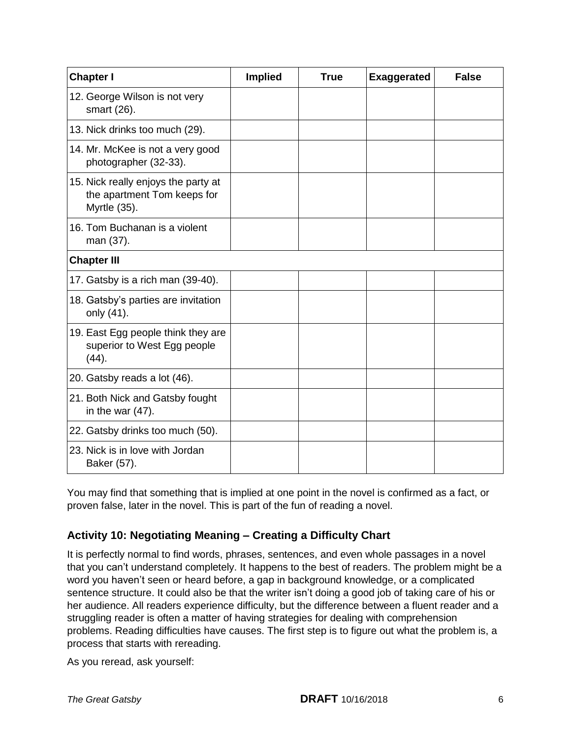| <b>Chapter I</b>                                                                   | <b>Implied</b> | <b>True</b> | <b>Exaggerated</b> | <b>False</b> |
|------------------------------------------------------------------------------------|----------------|-------------|--------------------|--------------|
| 12. George Wilson is not very<br>smart (26).                                       |                |             |                    |              |
| 13. Nick drinks too much (29).                                                     |                |             |                    |              |
| 14. Mr. McKee is not a very good<br>photographer (32-33).                          |                |             |                    |              |
| 15. Nick really enjoys the party at<br>the apartment Tom keeps for<br>Myrtle (35). |                |             |                    |              |
| 16. Tom Buchanan is a violent<br>man (37).                                         |                |             |                    |              |
| <b>Chapter III</b>                                                                 |                |             |                    |              |
| 17. Gatsby is a rich man (39-40).                                                  |                |             |                    |              |
| 18. Gatsby's parties are invitation<br>only (41).                                  |                |             |                    |              |
| 19. East Egg people think they are<br>superior to West Egg people<br>(44).         |                |             |                    |              |
| 20. Gatsby reads a lot (46).                                                       |                |             |                    |              |
| 21. Both Nick and Gatsby fought<br>in the war $(47)$ .                             |                |             |                    |              |
| 22. Gatsby drinks too much (50).                                                   |                |             |                    |              |
| 23. Nick is in love with Jordan<br>Baker (57).                                     |                |             |                    |              |

 You may find that something that is implied at one point in the novel is confirmed as a fact, or proven false, later in the novel. This is part of the fun of reading a novel.

#### **Activity 10: Negotiating Meaning – Creating a Difficulty Chart**

 It is perfectly normal to find words, phrases, sentences, and even whole passages in a novel that you can't understand completely. It happens to the best of readers. The problem might be a word you haven't seen or heard before, a gap in background knowledge, or a complicated sentence structure. It could also be that the writer isn't doing a good job of taking care of his or her audience. All readers experience difficulty, but the difference between a fluent reader and a struggling reader is often a matter of having strategies for dealing with comprehension problems. Reading difficulties have causes. The first step is to figure out what the problem is, a process that starts with rereading.

As you reread, ask yourself: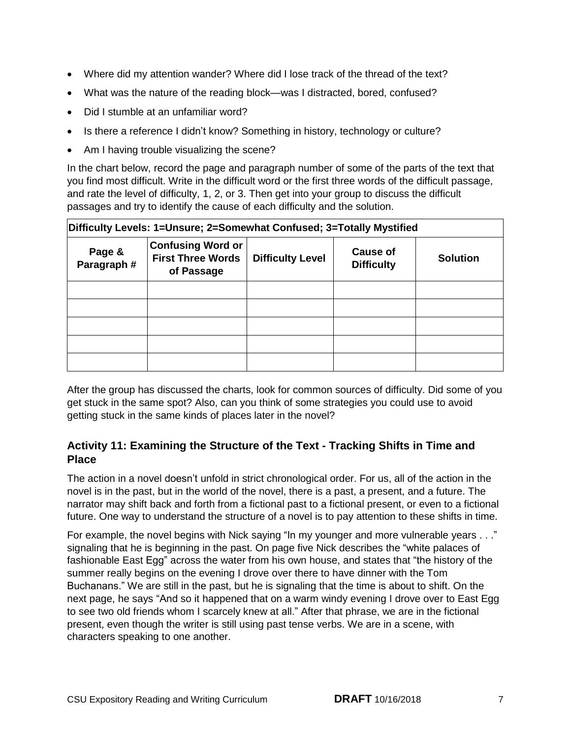- Where did my attention wander? Where did I lose track of the thread of the text?
- What was the nature of the reading block—was I distracted, bored, confused?
- Did I stumble at an unfamiliar word?
- Is there a reference I didn't know? Something in history, technology or culture?
- Am I having trouble visualizing the scene?

 In the chart below, record the page and paragraph number of some of the parts of the text that you find most difficult. Write in the difficult word or the first three words of the difficult passage, and rate the level of difficulty, 1, 2, or 3. Then get into your group to discuss the difficult passages and try to identify the cause of each difficulty and the solution.

| Difficulty Levels: 1=Unsure; 2=Somewhat Confused; 3=Totally Mystified |                                                                    |                         |                                      |                 |  |  |
|-----------------------------------------------------------------------|--------------------------------------------------------------------|-------------------------|--------------------------------------|-----------------|--|--|
| Page &<br>Paragraph #                                                 | <b>Confusing Word or</b><br><b>First Three Words</b><br>of Passage | <b>Difficulty Level</b> | <b>Cause of</b><br><b>Difficulty</b> | <b>Solution</b> |  |  |
|                                                                       |                                                                    |                         |                                      |                 |  |  |
|                                                                       |                                                                    |                         |                                      |                 |  |  |
|                                                                       |                                                                    |                         |                                      |                 |  |  |
|                                                                       |                                                                    |                         |                                      |                 |  |  |
|                                                                       |                                                                    |                         |                                      |                 |  |  |

 After the group has discussed the charts, look for common sources of difficulty. Did some of you get stuck in the same spot? Also, can you think of some strategies you could use to avoid getting stuck in the same kinds of places later in the novel?

#### **Activity 11: Examining the Structure of the Text - Tracking Shifts in Time and Place**

 The action in a novel doesn't unfold in strict chronological order. For us, all of the action in the novel is in the past, but in the world of the novel, there is a past, a present, and a future. The narrator may shift back and forth from a fictional past to a fictional present, or even to a fictional future. One way to understand the structure of a novel is to pay attention to these shifts in time.

 For example, the novel begins with Nick saying "In my younger and more vulnerable years . . ." signaling that he is beginning in the past. On page five Nick describes the "white palaces of fashionable East Egg" across the water from his own house, and states that "the history of the summer really begins on the evening I drove over there to have dinner with the Tom Buchanans." We are still in the past, but he is signaling that the time is about to shift. On the next page, he says "And so it happened that on a warm windy evening I drove over to East Egg to see two old friends whom I scarcely knew at all." After that phrase, we are in the fictional present, even though the writer is still using past tense verbs. We are in a scene, with characters speaking to one another.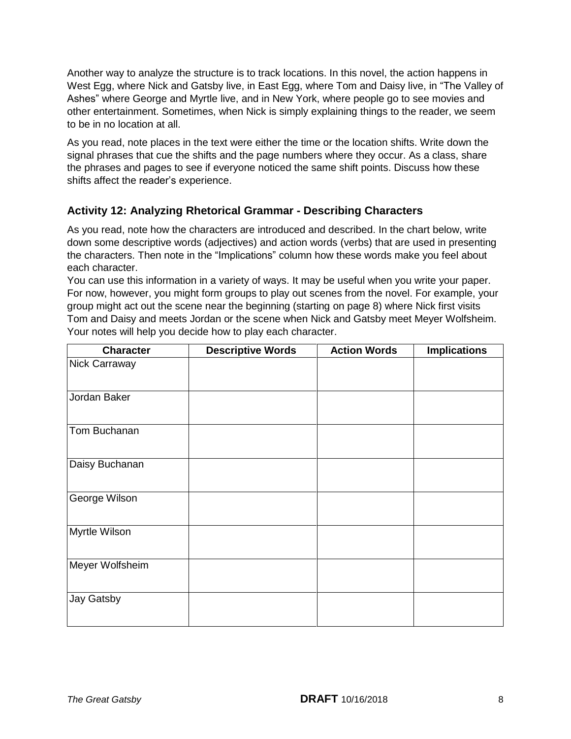Another way to analyze the structure is to track locations. In this novel, the action happens in West Egg, where Nick and Gatsby live, in East Egg, where Tom and Daisy live, in "The Valley of Ashes" where George and Myrtle live, and in New York, where people go to see movies and other entertainment. Sometimes, when Nick is simply explaining things to the reader, we seem to be in no location at all.

 As you read, note places in the text were either the time or the location shifts. Write down the signal phrases that cue the shifts and the page numbers where they occur. As a class, share the phrases and pages to see if everyone noticed the same shift points. Discuss how these shifts affect the reader's experience.

#### **Activity 12: Analyzing Rhetorical Grammar - Describing Characters**

 As you read, note how the characters are introduced and described. In the chart below, write down some descriptive words (adjectives) and action words (verbs) that are used in presenting the characters. Then note in the "Implications" column how these words make you feel about each character.

 You can use this information in a variety of ways. It may be useful when you write your paper. For now, however, you might form groups to play out scenes from the novel. For example, your group might act out the scene near the beginning (starting on page 8) where Nick first visits Tom and Daisy and meets Jordan or the scene when Nick and Gatsby meet Meyer Wolfsheim. Your notes will help you decide how to play each character.

| <b>Character</b> | <b>Descriptive Words</b> | <b>Action Words</b> | <b>Implications</b> |
|------------------|--------------------------|---------------------|---------------------|
| Nick Carraway    |                          |                     |                     |
| Jordan Baker     |                          |                     |                     |
| Tom Buchanan     |                          |                     |                     |
| Daisy Buchanan   |                          |                     |                     |
| George Wilson    |                          |                     |                     |
| Myrtle Wilson    |                          |                     |                     |
| Meyer Wolfsheim  |                          |                     |                     |
| Jay Gatsby       |                          |                     |                     |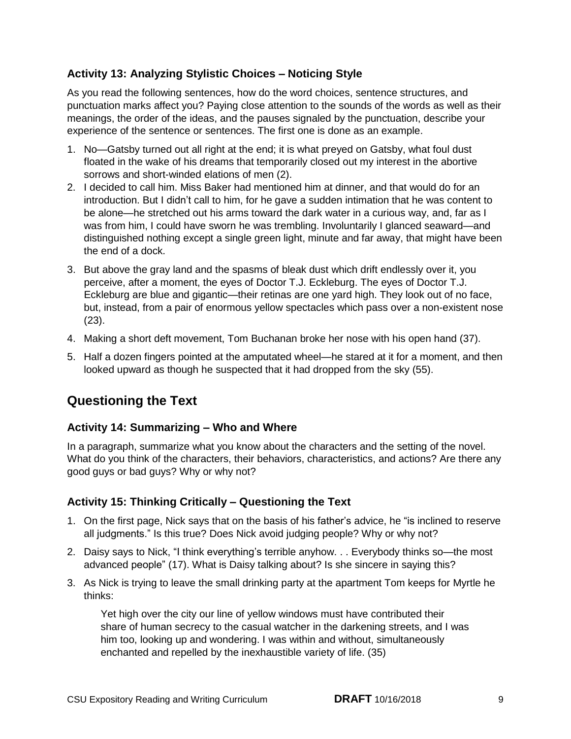#### **Activity 13: Analyzing Stylistic Choices – Noticing Style**

 As you read the following sentences, how do the word choices, sentence structures, and punctuation marks affect you? Paying close attention to the sounds of the words as well as their meanings, the order of the ideas, and the pauses signaled by the punctuation, describe your experience of the sentence or sentences. The first one is done as an example.

- 1. No—Gatsby turned out all right at the end; it is what preyed on Gatsby, what foul dust floated in the wake of his dreams that temporarily closed out my interest in the abortive sorrows and short-winded elations of men (2).
- 2. I decided to call him. Miss Baker had mentioned him at dinner, and that would do for an introduction. But I didn't call to him, for he gave a sudden intimation that he was content to be alone—he stretched out his arms toward the dark water in a curious way, and, far as I was from him, I could have sworn he was trembling. Involuntarily I glanced seaward—and distinguished nothing except a single green light, minute and far away, that might have been the end of a dock.
- 3. But above the gray land and the spasms of bleak dust which drift endlessly over it, you perceive, after a moment, the eyes of Doctor T.J. Eckleburg. The eyes of Doctor T.J. Eckleburg are blue and gigantic—their retinas are one yard high. They look out of no face, but, instead, from a pair of enormous yellow spectacles which pass over a non-existent nose (23).
- 4. Making a short deft movement, Tom Buchanan broke her nose with his open hand (37).
- 5. Half a dozen fingers pointed at the amputated wheel—he stared at it for a moment, and then looked upward as though he suspected that it had dropped from the sky (55).

### **Questioning the Text**

#### **Activity 14: Summarizing – Who and Where**

 In a paragraph, summarize what you know about the characters and the setting of the novel. What do you think of the characters, their behaviors, characteristics, and actions? Are there any good guys or bad guys? Why or why not?

#### **Activity 15: Thinking Critically – Questioning the Text**

- 1. On the first page, Nick says that on the basis of his father's advice, he "is inclined to reserve all judgments." Is this true? Does Nick avoid judging people? Why or why not?
- 2. Daisy says to Nick, "I think everything's terrible anyhow. . . Everybody thinks so—the most advanced people" (17). What is Daisy talking about? Is she sincere in saying this?
- 3. As Nick is trying to leave the small drinking party at the apartment Tom keeps for Myrtle he thinks:

 thinks: Yet high over the city our line of yellow windows must have contributed their share of human secrecy to the casual watcher in the darkening streets, and I was him too, looking up and wondering. I was within and without, simultaneously enchanted and repelled by the inexhaustible variety of life. (35)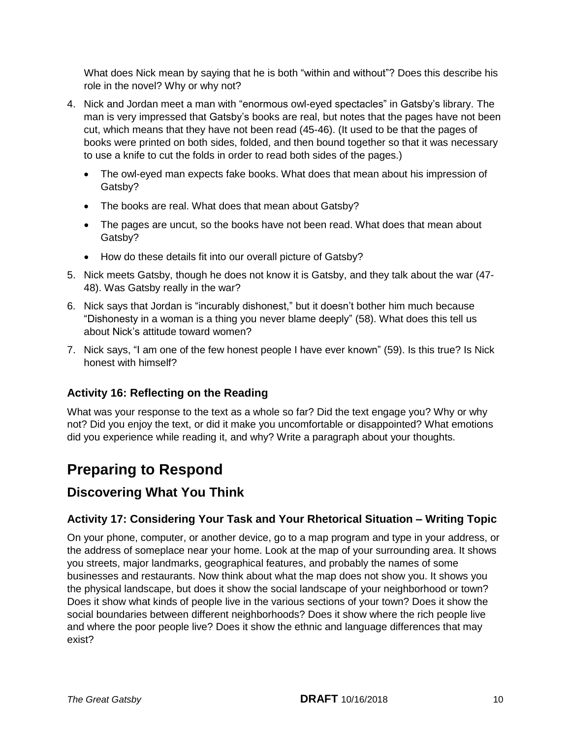What does Nick mean by saying that he is both "within and without"? Does this describe his role in the novel? Why or why not?

- 4. Nick and Jordan meet a man with "enormous owl-eyed spectacles" in Gatsby's library. The man is very impressed that Gatsby's books are real, but notes that the pages have not been cut, which means that they have not been read (45-46). (It used to be that the pages of books were printed on both sides, folded, and then bound together so that it was necessary to use a knife to cut the folds in order to read both sides of the pages.)
	- $\bullet$  Gatsby? The owl-eyed man expects fake books. What does that mean about his impression of
	- The books are real. What does that mean about Gatsby?
	- The pages are uncut, so the books have not been read. What does that mean about Gatsby?
	- How do these details fit into our overall picture of Gatsby?
- 5. Nick meets Gatsby, though he does not know it is Gatsby, and they talk about the war (47- 48). Was Gatsby really in the war?
- 6. Nick says that Jordan is "incurably dishonest," but it doesn't bother him much because "Dishonesty in a woman is a thing you never blame deeply" (58). What does this tell us about Nick's attitude toward women?
- 7. Nick says, "I am one of the few honest people I have ever known" (59). Is this true? Is Nick honest with himself?

#### **Activity 16: Reflecting on the Reading**

 What was your response to the text as a whole so far? Did the text engage you? Why or why not? Did you enjoy the text, or did it make you uncomfortable or disappointed? What emotions did you experience while reading it, and why? Write a paragraph about your thoughts.

# **Preparing to Respond**

#### **Discovering What You Think**

#### **Activity 17: Considering Your Task and Your Rhetorical Situation – Writing Topic**

 On your phone, computer, or another device, go to a map program and type in your address, or the address of someplace near your home. Look at the map of your surrounding area. It shows you streets, major landmarks, geographical features, and probably the names of some businesses and restaurants. Now think about what the map does not show you. It shows you the physical landscape, but does it show the social landscape of your neighborhood or town? Does it show what kinds of people live in the various sections of your town? Does it show the social boundaries between different neighborhoods? Does it show where the rich people live and where the poor people live? Does it show the ethnic and language differences that may exist?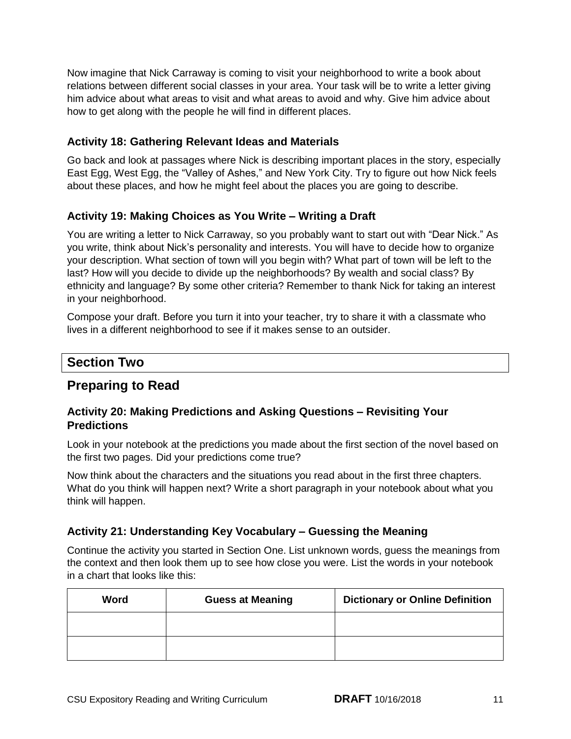Now imagine that Nick Carraway is coming to visit your neighborhood to write a book about relations between different social classes in your area. Your task will be to write a letter giving him advice about what areas to visit and what areas to avoid and why. Give him advice about how to get along with the people he will find in different places.

#### **Activity 18: Gathering Relevant Ideas and Materials**

 Go back and look at passages where Nick is describing important places in the story, especially East Egg, West Egg, the "Valley of Ashes," and New York City. Try to figure out how Nick feels about these places, and how he might feel about the places you are going to describe.

#### **Activity 19: Making Choices as You Write – Writing a Draft**

 You are writing a letter to Nick Carraway, so you probably want to start out with "Dear Nick." As you write, think about Nick's personality and interests. You will have to decide how to organize your description. What section of town will you begin with? What part of town will be left to the last? How will you decide to divide up the neighborhoods? By wealth and social class? By ethnicity and language? By some other criteria? Remember to thank Nick for taking an interest in your neighborhood.

 Compose your draft. Before you turn it into your teacher, try to share it with a classmate who lives in a different neighborhood to see if it makes sense to an outsider.

### **Section Two**

#### **Preparing to Read**

#### **Activity 20: Making Predictions and Asking Questions – Revisiting Your Predictions**

 Look in your notebook at the predictions you made about the first section of the novel based on the first two pages. Did your predictions come true?

 Now think about the characters and the situations you read about in the first three chapters. What do you think will happen next? Write a short paragraph in your notebook about what you think will happen.

#### **Activity 21: Understanding Key Vocabulary – Guessing the Meaning**

 Continue the activity you started in Section One. List unknown words, guess the meanings from the context and then look them up to see how close you were. List the words in your notebook in a chart that looks like this:

| Word | <b>Guess at Meaning</b> | <b>Dictionary or Online Definition</b> |
|------|-------------------------|----------------------------------------|
|      |                         |                                        |
|      |                         |                                        |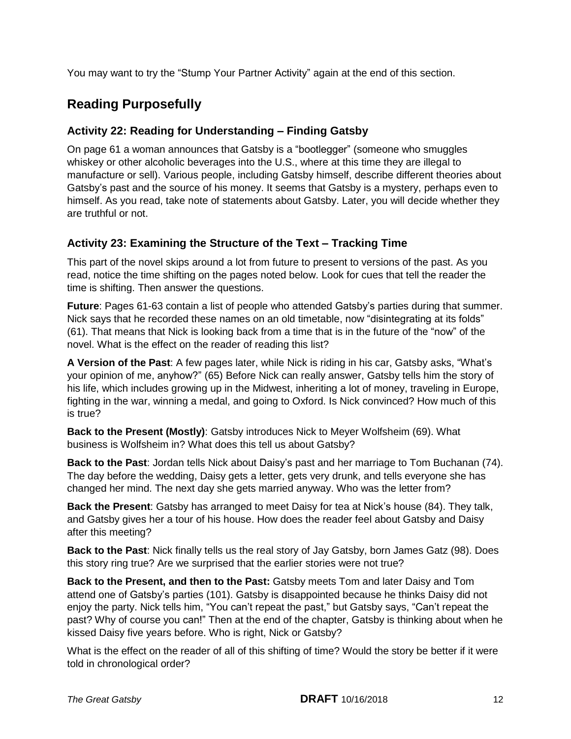You may want to try the "Stump Your Partner Activity" again at the end of this section.

### **Reading Purposefully**

#### **Activity 22: Reading for Understanding – Finding Gatsby**

 On page 61 a woman announces that Gatsby is a "bootlegger" (someone who smuggles whiskey or other alcoholic beverages into the U.S., where at this time they are illegal to manufacture or sell). Various people, including Gatsby himself, describe different theories about Gatsby's past and the source of his money. It seems that Gatsby is a mystery, perhaps even to himself. As you read, take note of statements about Gatsby. Later, you will decide whether they are truthful or not.

#### **Activity 23: Examining the Structure of the Text – Tracking Time**

 This part of the novel skips around a lot from future to present to versions of the past. As you read, notice the time shifting on the pages noted below. Look for cues that tell the reader the time is shifting. Then answer the questions.

 **Future**: Pages 61-63 contain a list of people who attended Gatsby's parties during that summer. Nick says that he recorded these names on an old timetable, now "disintegrating at its folds" (61). That means that Nick is looking back from a time that is in the future of the "now" of the novel. What is the effect on the reader of reading this list?

 **A Version of the Past**: A few pages later, while Nick is riding in his car, Gatsby asks, "What's your opinion of me, anyhow?" (65) Before Nick can really answer, Gatsby tells him the story of his life, which includes growing up in the Midwest, inheriting a lot of money, traveling in Europe, fighting in the war, winning a medal, and going to Oxford. Is Nick convinced? How much of this is true?

 **Back to the Present (Mostly)**: Gatsby introduces Nick to Meyer Wolfsheim (69). What business is Wolfsheim in? What does this tell us about Gatsby?

 **Back to the Past**: Jordan tells Nick about Daisy's past and her marriage to Tom Buchanan (74). The day before the wedding, Daisy gets a letter, gets very drunk, and tells everyone she has changed her mind. The next day she gets married anyway. Who was the letter from?

 **Back the Present**: Gatsby has arranged to meet Daisy for tea at Nick's house (84). They talk, and Gatsby gives her a tour of his house. How does the reader feel about Gatsby and Daisy after this meeting?

 **Back to the Past**: Nick finally tells us the real story of Jay Gatsby, born James Gatz (98). Does this story ring true? Are we surprised that the earlier stories were not true?

Back to the Present, and then to the Past: Gatsby meets Tom and later Daisy and Tom attend one of Gatsby's parties (101). Gatsby is disappointed because he thinks Daisy did not enjoy the party. Nick tells him, "You can't repeat the past," but Gatsby says, "Can't repeat the past? Why of course you can!" Then at the end of the chapter, Gatsby is thinking about when he kissed Daisy five years before. Who is right, Nick or Gatsby?

 What is the effect on the reader of all of this shifting of time? Would the story be better if it were told in chronological order?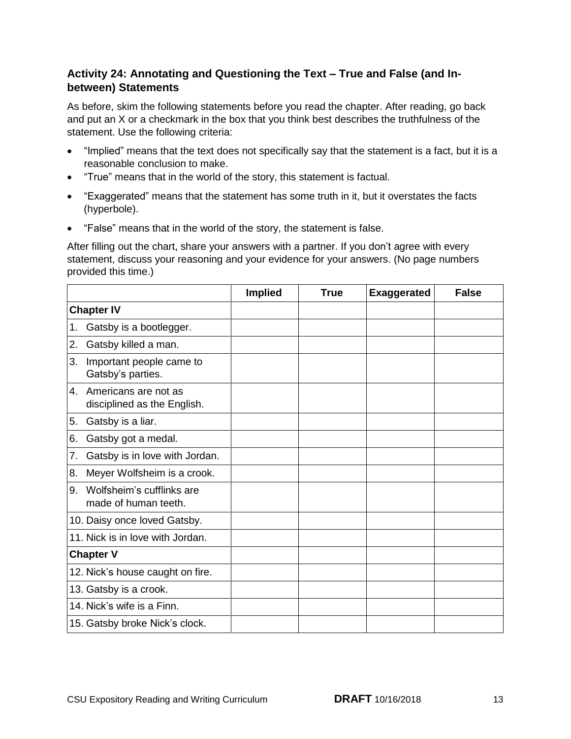#### **Activity 24: Annotating and Questioning the Text – True and False (and Inbetween) Statements**

 As before, skim the following statements before you read the chapter. After reading, go back and put an X or a checkmark in the box that you think best describes the truthfulness of the statement. Use the following criteria:

- "Implied" means that the text does not specifically say that the statement is a fact, but it is a reasonable conclusion to make.
- "True" means that in the world of the story, this statement is factual.
- "Exaggerated" means that the statement has some truth in it, but it overstates the facts (hyperbole).
- "False" means that in the world of the story, the statement is false.

 After filling out the chart, share your answers with a partner. If you don't agree with every statement, discuss your reasoning and your evidence for your answers. (No page numbers provided this time.)

|                   |                                                     | <b>Implied</b> | True | <b>Exaggerated</b> | <b>False</b> |
|-------------------|-----------------------------------------------------|----------------|------|--------------------|--------------|
| <b>Chapter IV</b> |                                                     |                |      |                    |              |
| 1.                | Gatsby is a bootlegger.                             |                |      |                    |              |
| 2.                | Gatsby killed a man.                                |                |      |                    |              |
| 3.                | Important people came to<br>Gatsby's parties.       |                |      |                    |              |
| $4_{-}$           | Americans are not as<br>disciplined as the English. |                |      |                    |              |
| 5.                | Gatsby is a liar.                                   |                |      |                    |              |
| 6.                | Gatsby got a medal.                                 |                |      |                    |              |
| 7.                | Gatsby is in love with Jordan.                      |                |      |                    |              |
| 8.                | Meyer Wolfsheim is a crook.                         |                |      |                    |              |
| 9.                | Wolfsheim's cufflinks are<br>made of human teeth.   |                |      |                    |              |
|                   | 10. Daisy once loved Gatsby.                        |                |      |                    |              |
|                   | 11. Nick is in love with Jordan.                    |                |      |                    |              |
|                   | <b>Chapter V</b>                                    |                |      |                    |              |
|                   | 12. Nick's house caught on fire.                    |                |      |                    |              |
|                   | 13. Gatsby is a crook.                              |                |      |                    |              |
|                   | 14. Nick's wife is a Finn.                          |                |      |                    |              |
|                   | 15. Gatsby broke Nick's clock.                      |                |      |                    |              |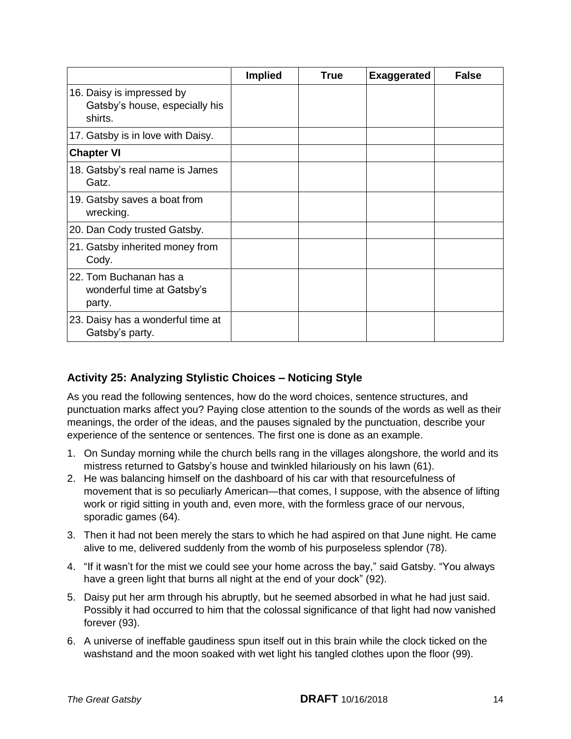|                                                                        | <b>Implied</b> | <b>True</b> | <b>Exaggerated</b> | <b>False</b> |
|------------------------------------------------------------------------|----------------|-------------|--------------------|--------------|
| 16. Daisy is impressed by<br>Gatsby's house, especially his<br>shirts. |                |             |                    |              |
| 17. Gatsby is in love with Daisy.                                      |                |             |                    |              |
| <b>Chapter VI</b>                                                      |                |             |                    |              |
| 18. Gatsby's real name is James<br>Gatz.                               |                |             |                    |              |
| 19. Gatsby saves a boat from<br>wrecking.                              |                |             |                    |              |
| 20. Dan Cody trusted Gatsby.                                           |                |             |                    |              |
| 21. Gatsby inherited money from<br>Cody.                               |                |             |                    |              |
| 22. Tom Buchanan has a<br>wonderful time at Gatsby's<br>party.         |                |             |                    |              |
| 23. Daisy has a wonderful time at<br>Gatsby's party.                   |                |             |                    |              |

#### **Activity 25: Analyzing Stylistic Choices – Noticing Style**

 As you read the following sentences, how do the word choices, sentence structures, and punctuation marks affect you? Paying close attention to the sounds of the words as well as their meanings, the order of the ideas, and the pauses signaled by the punctuation, describe your experience of the sentence or sentences. The first one is done as an example.

- 1. On Sunday morning while the church bells rang in the villages alongshore, the world and its mistress returned to Gatsby's house and twinkled hilariously on his lawn (61).
- 2. He was balancing himself on the dashboard of his car with that resourcefulness of movement that is so peculiarly American—that comes, I suppose, with the absence of lifting work or rigid sitting in youth and, even more, with the formless grace of our nervous, sporadic games (64).
- 3. Then it had not been merely the stars to which he had aspired on that June night. He came alive to me, delivered suddenly from the womb of his purposeless splendor (78).
- 4. "If it wasn't for the mist we could see your home across the bay," said Gatsby. "You always have a green light that burns all night at the end of your dock" (92).
- 5. Daisy put her arm through his abruptly, but he seemed absorbed in what he had just said. Possibly it had occurred to him that the colossal significance of that light had now vanished forever (93).
- 6. A universe of ineffable gaudiness spun itself out in this brain while the clock ticked on the washstand and the moon soaked with wet light his tangled clothes upon the floor (99).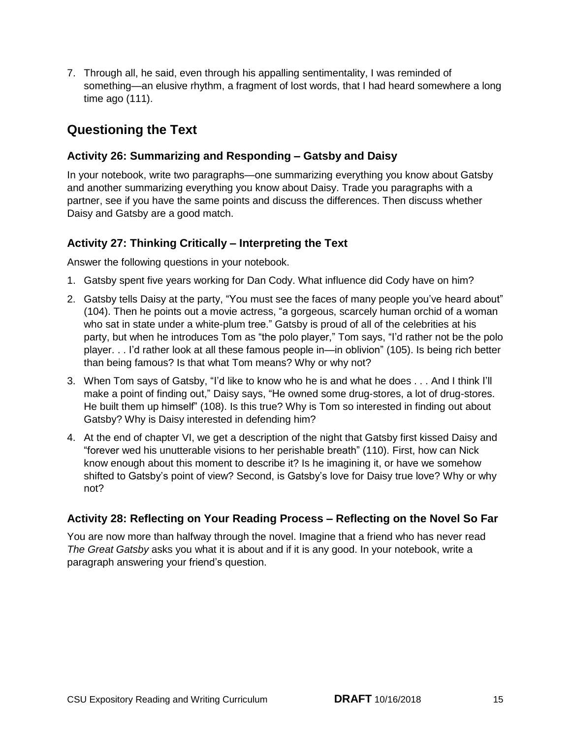7. Through all, he said, even through his appalling sentimentality, I was reminded of something—an elusive rhythm, a fragment of lost words, that I had heard somewhere a long time ago (111).

### **Questioning the Text**

#### **Activity 26: Summarizing and Responding – Gatsby and Daisy**

 In your notebook, write two paragraphs—one summarizing everything you know about Gatsby and another summarizing everything you know about Daisy. Trade you paragraphs with a partner, see if you have the same points and discuss the differences. Then discuss whether Daisy and Gatsby are a good match.

#### **Activity 27: Thinking Critically – Interpreting the Text**

Answer the following questions in your notebook.

- 1. Gatsby spent five years working for Dan Cody. What influence did Cody have on him?
- 2. Gatsby tells Daisy at the party, "You must see the faces of many people you've heard about" (104). Then he points out a movie actress, "a gorgeous, scarcely human orchid of a woman who sat in state under a white-plum tree." Gatsby is proud of all of the celebrities at his party, but when he introduces Tom as "the polo player," Tom says, "I'd rather not be the polo player. . . I'd rather look at all these famous people in—in oblivion" (105). Is being rich better than being famous? Is that what Tom means? Why or why not?
- 3. When Tom says of Gatsby, "I'd like to know who he is and what he does . . . And I think I'll make a point of finding out," Daisy says, "He owned some drug-stores, a lot of drug-stores. He built them up himself" (108). Is this true? Why is Tom so interested in finding out about Gatsby? Why is Daisy interested in defending him?
- 4. At the end of chapter VI, we get a description of the night that Gatsby first kissed Daisy and "forever wed his unutterable visions to her perishable breath" (110). First, how can Nick know enough about this moment to describe it? Is he imagining it, or have we somehow shifted to Gatsby's point of view? Second, is Gatsby's love for Daisy true love? Why or why not?

#### **Activity 28: Reflecting on Your Reading Process – Reflecting on the Novel So Far**

 You are now more than halfway through the novel. Imagine that a friend who has never read The Great Gatsby asks you what it is about and if it is any good. In your notebook, write a paragraph answering your friend's question.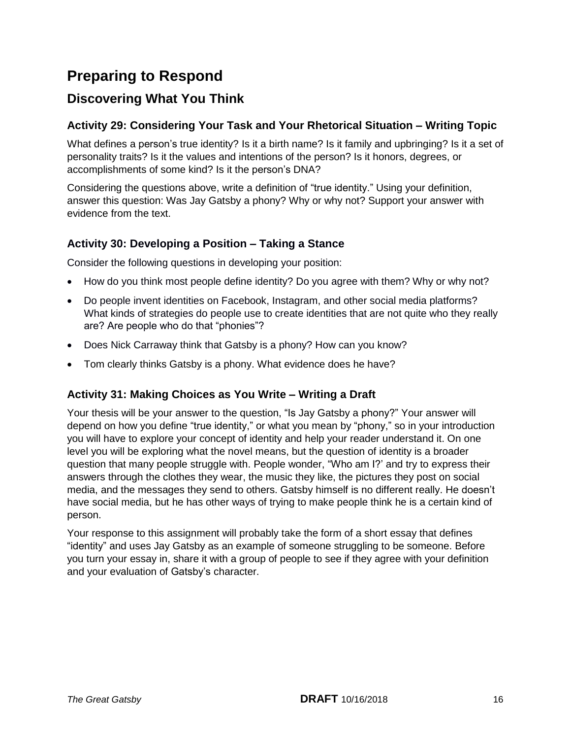# **Preparing to Respond**

### **Discovering What You Think**

#### **Activity 29: Considering Your Task and Your Rhetorical Situation – Writing Topic**

 What defines a person's true identity? Is it a birth name? Is it family and upbringing? Is it a set of personality traits? Is it the values and intentions of the person? Is it honors, degrees, or accomplishments of some kind? Is it the person's DNA?

 Considering the questions above, write a definition of "true identity." Using your definition, answer this question: Was Jay Gatsby a phony? Why or why not? Support your answer with evidence from the text.

#### **Activity 30: Developing a Position – Taking a Stance**

Consider the following questions in developing your position:

- How do you think most people define identity? Do you agree with them? Why or why not?
- Do people invent identities on Facebook, Instagram, and other social media platforms? What kinds of strategies do people use to create identities that are not quite who they really are? Are people who do that "phonies"?
- Does Nick Carraway think that Gatsby is a phony? How can you know?
- Tom clearly thinks Gatsby is a phony. What evidence does he have?

#### **Activity 31: Making Choices as You Write – Writing a Draft**

 Your thesis will be your answer to the question, "Is Jay Gatsby a phony?" Your answer will depend on how you define "true identity," or what you mean by "phony," so in your introduction you will have to explore your concept of identity and help your reader understand it. On one level you will be exploring what the novel means, but the question of identity is a broader question that many people struggle with. People wonder, "Who am I?' and try to express their answers through the clothes they wear, the music they like, the pictures they post on social media, and the messages they send to others. Gatsby himself is no different really. He doesn't have social media, but he has other ways of trying to make people think he is a certain kind of person.

 Your response to this assignment will probably take the form of a short essay that defines "identity" and uses Jay Gatsby as an example of someone struggling to be someone. Before you turn your essay in, share it with a group of people to see if they agree with your definition and your evaluation of Gatsby's character.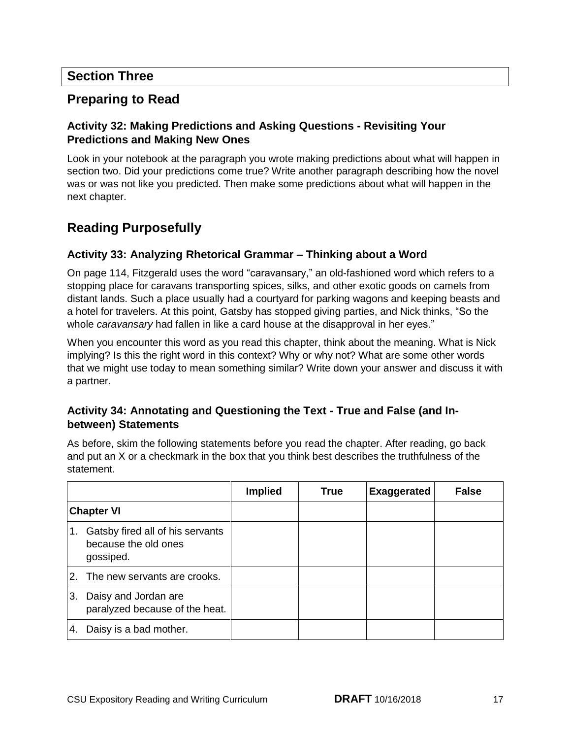#### **Section Three**

#### **Preparing to Read**

#### **Activity 32: Making Predictions and Asking Questions - Revisiting Your Predictions and Making New Ones**

 Look in your notebook at the paragraph you wrote making predictions about what will happen in section two. Did your predictions come true? Write another paragraph describing how the novel was or was not like you predicted. Then make some predictions about what will happen in the next chapter.

### **Reading Purposefully**

#### **Activity 33: Analyzing Rhetorical Grammar – Thinking about a Word**

 On page 114, Fitzgerald uses the word "caravansary," an old-fashioned word which refers to a stopping place for caravans transporting spices, silks, and other exotic goods on camels from distant lands. Such a place usually had a courtyard for parking wagons and keeping beasts and a hotel for travelers. At this point, Gatsby has stopped giving parties, and Nick thinks, "So the whole *caravansary* had fallen in like a card house at the disapproval in her eyes."

 When you encounter this word as you read this chapter, think about the meaning. What is Nick implying? Is this the right word in this context? Why or why not? What are some other words that we might use today to mean something similar? Write down your answer and discuss it with a partner.

#### **Activity 34: Annotating and Questioning the Text - True and False (and Inbetween) Statements**

 As before, skim the following statements before you read the chapter. After reading, go back and put an X or a checkmark in the box that you think best describes the truthfulness of the statement.

|                   |                                                                       | <b>Implied</b> | True | <b>Exaggerated</b> | <b>False</b> |
|-------------------|-----------------------------------------------------------------------|----------------|------|--------------------|--------------|
| <b>Chapter VI</b> |                                                                       |                |      |                    |              |
| 1.                | Gatsby fired all of his servants<br>because the old ones<br>gossiped. |                |      |                    |              |
|                   | 2. The new servants are crooks.                                       |                |      |                    |              |
| 3.                | Daisy and Jordan are<br>paralyzed because of the heat.                |                |      |                    |              |
| 4.                | Daisy is a bad mother.                                                |                |      |                    |              |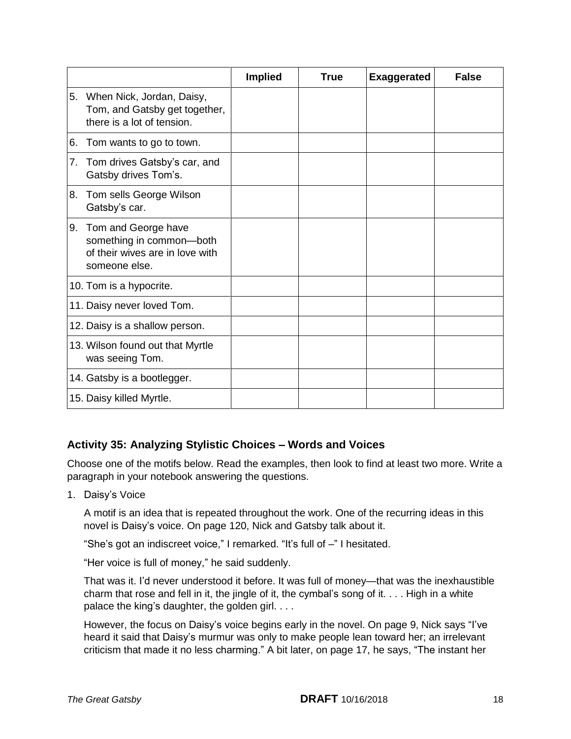|    |                                                                                                        | <b>Implied</b> | <b>True</b> | <b>Exaggerated</b> | <b>False</b> |
|----|--------------------------------------------------------------------------------------------------------|----------------|-------------|--------------------|--------------|
| 5. | When Nick, Jordan, Daisy,<br>Tom, and Gatsby get together,<br>there is a lot of tension.               |                |             |                    |              |
| 6. | Tom wants to go to town.                                                                               |                |             |                    |              |
| 7. | Tom drives Gatsby's car, and<br>Gatsby drives Tom's.                                                   |                |             |                    |              |
| 8. | Tom sells George Wilson<br>Gatsby's car.                                                               |                |             |                    |              |
|    | 9. Tom and George have<br>something in common-both<br>of their wives are in love with<br>someone else. |                |             |                    |              |
|    | 10. Tom is a hypocrite.                                                                                |                |             |                    |              |
|    | 11. Daisy never loved Tom.                                                                             |                |             |                    |              |
|    | 12. Daisy is a shallow person.                                                                         |                |             |                    |              |
|    | 13. Wilson found out that Myrtle<br>was seeing Tom.                                                    |                |             |                    |              |
|    | 14. Gatsby is a bootlegger.                                                                            |                |             |                    |              |
|    | 15. Daisy killed Myrtle.                                                                               |                |             |                    |              |

#### **Activity 35: Analyzing Stylistic Choices – Words and Voices**

 Choose one of the motifs below. Read the examples, then look to find at least two more. Write a paragraph in your notebook answering the questions.

1. Daisy's Voice

 A motif is an idea that is repeated throughout the work. One of the recurring ideas in this novel is Daisy's voice. On page 120, Nick and Gatsby talk about it.

"She's got an indiscreet voice," I remarked. "It's full of –" I hesitated.

"Her voice is full of money," he said suddenly.

 That was it. I'd never understood it before. It was full of money—that was the inexhaustible charm that rose and fell in it, the jingle of it, the cymbal's song of it. . . . High in a white palace the king's daughter, the golden girl. . . .

 However, the focus on Daisy's voice begins early in the novel. On page 9, Nick says "I've heard it said that Daisy's murmur was only to make people lean toward her; an irrelevant criticism that made it no less charming." A bit later, on page 17, he says, "The instant her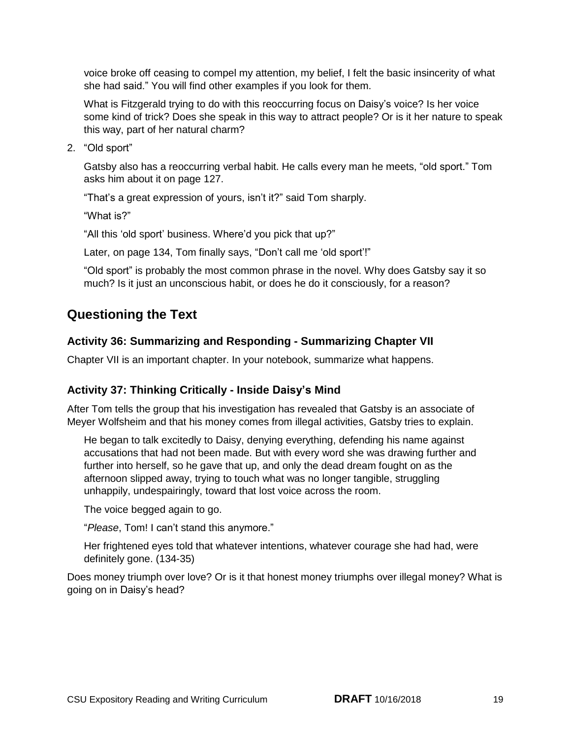voice broke off ceasing to compel my attention, my belief, I felt the basic insincerity of what she had said." You will find other examples if you look for them.

 What is Fitzgerald trying to do with this reoccurring focus on Daisy's voice? Is her voice some kind of trick? Does she speak in this way to attract people? Or is it her nature to speak this way, part of her natural charm?

2. "Old sport"

 Gatsby also has a reoccurring verbal habit. He calls every man he meets, "old sport." Tom asks him about it on page 127.

"That's a great expression of yours, isn't it?" said Tom sharply.

"What is?"

"All this 'old sport' business. Where'd you pick that up?"

Later, on page 134, Tom finally says, "Don't call me 'old sport'!"

 "Old sport" is probably the most common phrase in the novel. Why does Gatsby say it so much? Is it just an unconscious habit, or does he do it consciously, for a reason?

### **Questioning the Text**

#### **Activity 36: Summarizing and Responding - Summarizing Chapter VII**

Chapter VII is an important chapter. In your notebook, summarize what happens.

#### **Activity 37: Thinking Critically - Inside Daisy's Mind**

 After Tom tells the group that his investigation has revealed that Gatsby is an associate of Meyer Wolfsheim and that his money comes from illegal activities, Gatsby tries to explain.

 He began to talk excitedly to Daisy, denying everything, defending his name against accusations that had not been made. But with every word she was drawing further and further into herself, so he gave that up, and only the dead dream fought on as the afternoon slipped away, trying to touch what was no longer tangible, struggling unhappily, undespairingly, toward that lost voice across the room.

The voice begged again to go.

"*Please*, Tom! I can't stand this anymore."

 Her frightened eyes told that whatever intentions, whatever courage she had had, were definitely gone. (134-35)

 Does money triumph over love? Or is it that honest money triumphs over illegal money? What is going on in Daisy's head?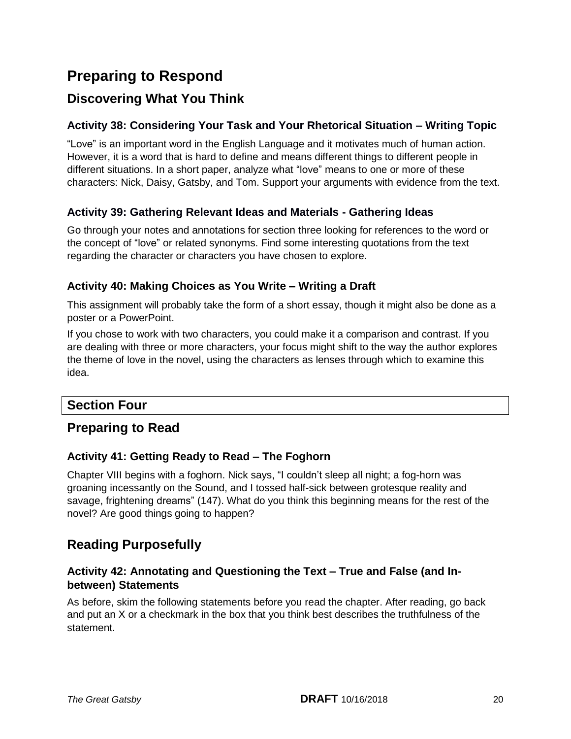# **Preparing to Respond**

### **Discovering What You Think**

#### **Activity 38: Considering Your Task and Your Rhetorical Situation – Writing Topic**

 "Love" is an important word in the English Language and it motivates much of human action. However, it is a word that is hard to define and means different things to different people in different situations. In a short paper, analyze what "love" means to one or more of these characters: Nick, Daisy, Gatsby, and Tom. Support your arguments with evidence from the text.

#### **Activity 39: Gathering Relevant Ideas and Materials - Gathering Ideas**

 Go through your notes and annotations for section three looking for references to the word or the concept of "love" or related synonyms. Find some interesting quotations from the text regarding the character or characters you have chosen to explore.

#### **Activity 40: Making Choices as You Write – Writing a Draft**

 This assignment will probably take the form of a short essay, though it might also be done as a poster or a PowerPoint.

 If you chose to work with two characters, you could make it a comparison and contrast. If you are dealing with three or more characters, your focus might shift to the way the author explores the theme of love in the novel, using the characters as lenses through which to examine this idea.

#### **Section Four**

#### **Preparing to Read**

#### **Activity 41: Getting Ready to Read – The Foghorn**

 Chapter VIII begins with a foghorn. Nick says, "I couldn't sleep all night; a fog-horn was groaning incessantly on the Sound, and I tossed half-sick between grotesque reality and savage, frightening dreams" (147). What do you think this beginning means for the rest of the novel? Are good things going to happen?

### **Reading Purposefully**

#### **Activity 42: Annotating and Questioning the Text – True and False (and Inbetween) Statements**

 As before, skim the following statements before you read the chapter. After reading, go back and put an X or a checkmark in the box that you think best describes the truthfulness of the statement.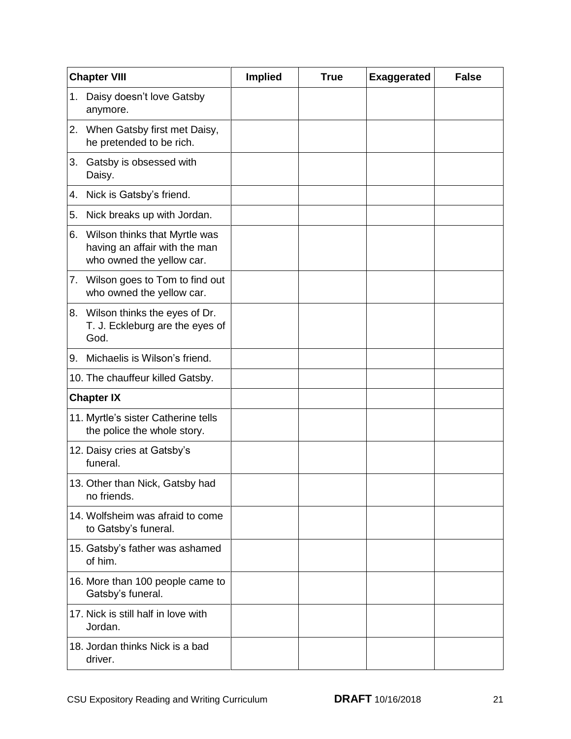|    | <b>Chapter VIII</b>                                                                            | <b>Implied</b> | <b>True</b> | <b>Exaggerated</b> | <b>False</b> |
|----|------------------------------------------------------------------------------------------------|----------------|-------------|--------------------|--------------|
| 1. | Daisy doesn't love Gatsby<br>anymore.                                                          |                |             |                    |              |
|    | 2. When Gatsby first met Daisy,<br>he pretended to be rich.                                    |                |             |                    |              |
| 3. | Gatsby is obsessed with<br>Daisy.                                                              |                |             |                    |              |
| 4. | Nick is Gatsby's friend.                                                                       |                |             |                    |              |
| 5. | Nick breaks up with Jordan.                                                                    |                |             |                    |              |
|    | 6. Wilson thinks that Myrtle was<br>having an affair with the man<br>who owned the yellow car. |                |             |                    |              |
|    | 7. Wilson goes to Tom to find out<br>who owned the yellow car.                                 |                |             |                    |              |
|    | 8. Wilson thinks the eyes of Dr.<br>T. J. Eckleburg are the eyes of<br>God.                    |                |             |                    |              |
| 9. | Michaelis is Wilson's friend.                                                                  |                |             |                    |              |
|    | 10. The chauffeur killed Gatsby.                                                               |                |             |                    |              |
|    | <b>Chapter IX</b>                                                                              |                |             |                    |              |
|    | 11. Myrtle's sister Catherine tells<br>the police the whole story.                             |                |             |                    |              |
|    | 12. Daisy cries at Gatsby's<br>funeral.                                                        |                |             |                    |              |
|    | 13. Other than Nick, Gatsby had<br>no friends.                                                 |                |             |                    |              |
|    | 14. Wolfsheim was afraid to come<br>to Gatsby's funeral.                                       |                |             |                    |              |
|    | 15. Gatsby's father was ashamed<br>of him.                                                     |                |             |                    |              |
|    | 16. More than 100 people came to<br>Gatsby's funeral.                                          |                |             |                    |              |
|    | 17. Nick is still half in love with<br>Jordan.                                                 |                |             |                    |              |
|    | 18. Jordan thinks Nick is a bad<br>driver.                                                     |                |             |                    |              |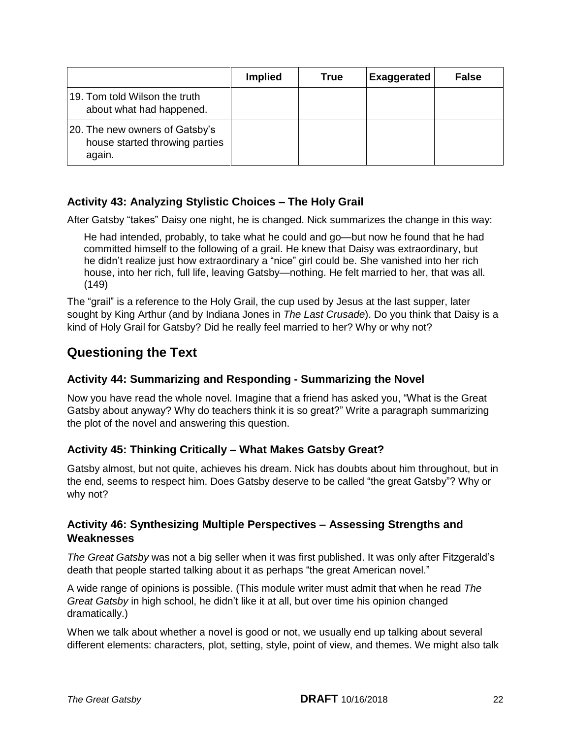|                                                                            | <b>Implied</b> | True | <b>Exaggerated</b> | <b>False</b> |
|----------------------------------------------------------------------------|----------------|------|--------------------|--------------|
| 19. Tom told Wilson the truth<br>about what had happened.                  |                |      |                    |              |
| 20. The new owners of Gatsby's<br>house started throwing parties<br>again. |                |      |                    |              |

#### **Activity 43: Analyzing Stylistic Choices – The Holy Grail**

After Gatsby "takes" Daisy one night, he is changed. Nick summarizes the change in this way:

 He had intended, probably, to take what he could and go—but now he found that he had committed himself to the following of a grail. He knew that Daisy was extraordinary, but he didn't realize just how extraordinary a "nice" girl could be. She vanished into her rich house, into her rich, full life, leaving Gatsby—nothing. He felt married to her, that was all.  $(149)$ 

 The "grail" is a reference to the Holy Grail, the cup used by Jesus at the last supper, later sought by King Arthur (and by Indiana Jones in *The Last Crusade*). Do you think that Daisy is a kind of Holy Grail for Gatsby? Did he really feel married to her? Why or why not?

### **Questioning the Text**

#### **Activity 44: Summarizing and Responding - Summarizing the Novel**

 Now you have read the whole novel. Imagine that a friend has asked you, "What is the Great Gatsby about anyway? Why do teachers think it is so great?" Write a paragraph summarizing the plot of the novel and answering this question.

#### **Activity 45: Thinking Critically – What Makes Gatsby Great?**

 Gatsby almost, but not quite, achieves his dream. Nick has doubts about him throughout, but in the end, seems to respect him. Does Gatsby deserve to be called "the great Gatsby"? Why or why not?

#### **Activity 46: Synthesizing Multiple Perspectives – Assessing Strengths and Weaknesses**

The Great Gatsby was not a big seller when it was first published. It was only after Fitzgerald's death that people started talking about it as perhaps "the great American novel."

 A wide range of opinions is possible. (This module writer must admit that when he read *The Great Gatsby* in high school, he didn't like it at all, but over time his opinion changed dramatically.)

dramatically.)<br>When we talk about whether a novel is good or not, we usually end up talking about several different elements: characters, plot, setting, style, point of view, and themes. We might also talk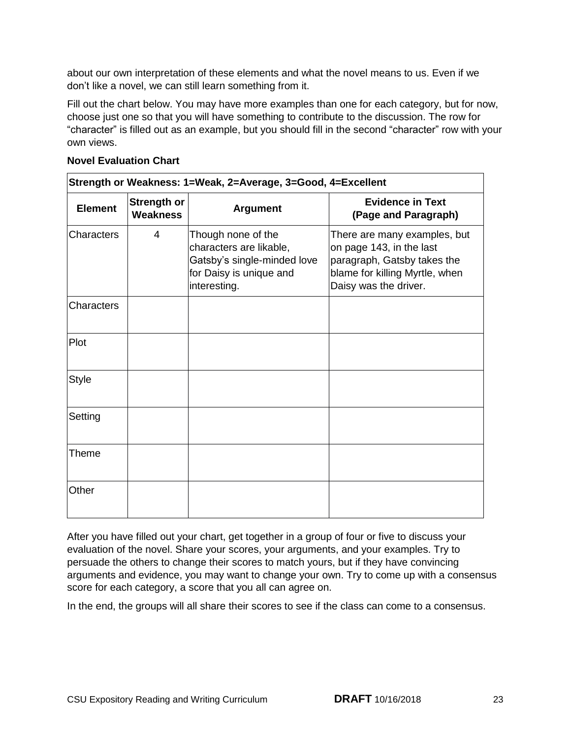about our own interpretation of these elements and what the novel means to us. Even if we don't like a novel, we can still learn something from it.

 Fill out the chart below. You may have more examples than one for each category, but for now, choose just one so that you will have something to contribute to the discussion. The row for "character" is filled out as an example, but you should fill in the second "character" row with your own views.

#### **Novel Evaluation Chart**

| Strength or Weakness: 1=Weak, 2=Average, 3=Good, 4=Excellent |                                |                                                                                                                         |                                                                                                                                                    |  |  |
|--------------------------------------------------------------|--------------------------------|-------------------------------------------------------------------------------------------------------------------------|----------------------------------------------------------------------------------------------------------------------------------------------------|--|--|
| <b>Element</b>                                               | <b>Strength or</b><br>Weakness | <b>Argument</b>                                                                                                         | <b>Evidence in Text</b><br>(Page and Paragraph)                                                                                                    |  |  |
| <b>Characters</b>                                            | 4                              | Though none of the<br>characters are likable,<br>Gatsby's single-minded love<br>for Daisy is unique and<br>interesting. | There are many examples, but<br>on page 143, in the last<br>paragraph, Gatsby takes the<br>blame for killing Myrtle, when<br>Daisy was the driver. |  |  |
| Characters                                                   |                                |                                                                                                                         |                                                                                                                                                    |  |  |
| Plot                                                         |                                |                                                                                                                         |                                                                                                                                                    |  |  |
| <b>Style</b>                                                 |                                |                                                                                                                         |                                                                                                                                                    |  |  |
| Setting                                                      |                                |                                                                                                                         |                                                                                                                                                    |  |  |
| Theme                                                        |                                |                                                                                                                         |                                                                                                                                                    |  |  |
| Other                                                        |                                |                                                                                                                         |                                                                                                                                                    |  |  |

 After you have filled out your chart, get together in a group of four or five to discuss your evaluation of the novel. Share your scores, your arguments, and your examples. Try to persuade the others to change their scores to match yours, but if they have convincing arguments and evidence, you may want to change your own. Try to come up with a consensus score for each category, a score that you all can agree on.

In the end, the groups will all share their scores to see if the class can come to a consensus.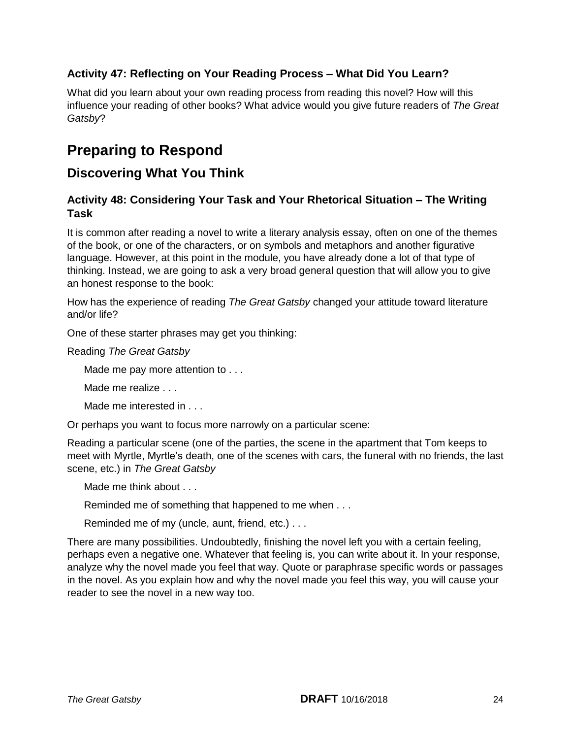#### **Activity 47: Reflecting on Your Reading Process – What Did You Learn?**

 What did you learn about your own reading process from reading this novel? How will this influence your reading of other books? What advice would you give future readers of *The Great Gatsby*?

# **Preparing to Respond**

### **Discovering What You Think**

#### **Activity 48: Considering Your Task and Your Rhetorical Situation – The Writing Task**

 It is common after reading a novel to write a literary analysis essay, often on one of the themes of the book, or one of the characters, or on symbols and metaphors and another figurative language. However, at this point in the module, you have already done a lot of that type of thinking. Instead, we are going to ask a very broad general question that will allow you to give an honest response to the book:

 How has the experience of reading *The Great Gatsby* changed your attitude toward literature and/or life?

One of these starter phrases may get you thinking:

 Reading *The Great Gatsby* 

Made me pay more attention to . . .

Made me realize . . .

Made me interested in . . .

Or perhaps you want to focus more narrowly on a particular scene:

 Reading a particular scene (one of the parties, the scene in the apartment that Tom keeps to meet with Myrtle, Myrtle's death, one of the scenes with cars, the funeral with no friends, the last scene, etc.) in *The Great Gatsby* 

Made me think about . . .

Reminded me of something that happened to me when . . .

Reminded me of my (uncle, aunt, friend, etc.) . . .

 There are many possibilities. Undoubtedly, finishing the novel left you with a certain feeling, perhaps even a negative one. Whatever that feeling is, you can write about it. In your response, analyze why the novel made you feel that way. Quote or paraphrase specific words or passages in the novel. As you explain how and why the novel made you feel this way, you will cause your reader to see the novel in a new way too.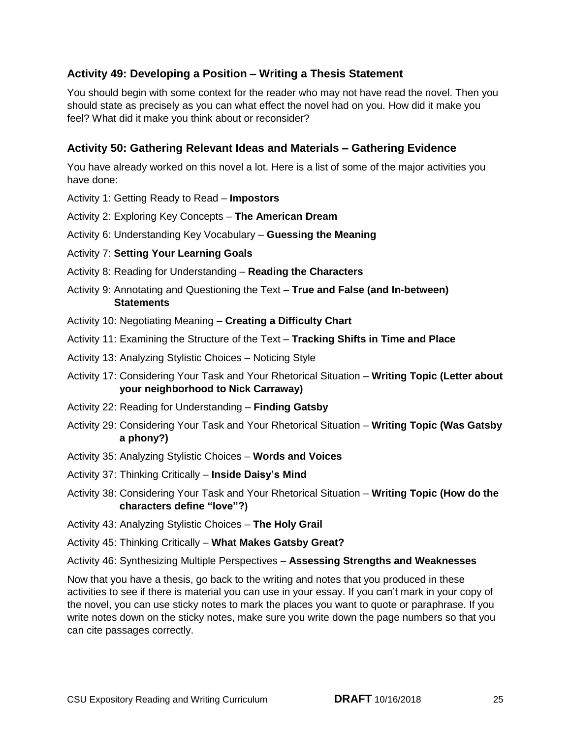#### **Activity 49: Developing a Position – Writing a Thesis Statement**

 You should begin with some context for the reader who may not have read the novel. Then you should state as precisely as you can what effect the novel had on you. How did it make you feel? What did it make you think about or reconsider?

#### **Activity 50: Gathering Relevant Ideas and Materials – Gathering Evidence**

 You have already worked on this novel a lot. Here is a list of some of the major activities you have done:

- Activity 1: Getting Ready to Read **Impostors**
- Activity 2: Exploring Key Concepts **The American Dream**

Activity 6: Understanding Key Vocabulary – **Guessing the Meaning** 

#### Activity 7: **Setting Your Learning Goals**

- Activity 8: Reading for Understanding **Reading the Characters**
- Activity 9: Annotating and Questioning the Text **True and False (and In-between) Statements**
- Activity 10: Negotiating Meaning **Creating a Difficulty Chart**
- Activity 11: Examining the Structure of the Text **Tracking Shifts in Time and Place**
- Activity 13: Analyzing Stylistic Choices Noticing Style
- Activity 17: Considering Your Task and Your Rhetorical Situation **Writing Topic (Letter about your neighborhood to Nick Carraway)**
- Activity 22: Reading for Understanding **Finding Gatsby**
- Activity 29: Considering Your Task and Your Rhetorical Situation **Writing Topic (Was Gatsby a phony?)**
- Activity 35: Analyzing Stylistic Choices **Words and Voices**
- Activity 37: Thinking Critically **Inside Daisy's Mind**
- Activity 38: Considering Your Task and Your Rhetorical Situation **Writing Topic (How do the characters define "love"?)**
- Activity 43: Analyzing Stylistic Choices **The Holy Grail**
- Activity 45: Thinking Critically **What Makes Gatsby Great?**
- Activity 46: Synthesizing Multiple Perspectives **Assessing Strengths and Weaknesses**

 Now that you have a thesis, go back to the writing and notes that you produced in these activities to see if there is material you can use in your essay. If you can't mark in your copy of the novel, you can use sticky notes to mark the places you want to quote or paraphrase. If you write notes down on the sticky notes, make sure you write down the page numbers so that you can cite passages correctly.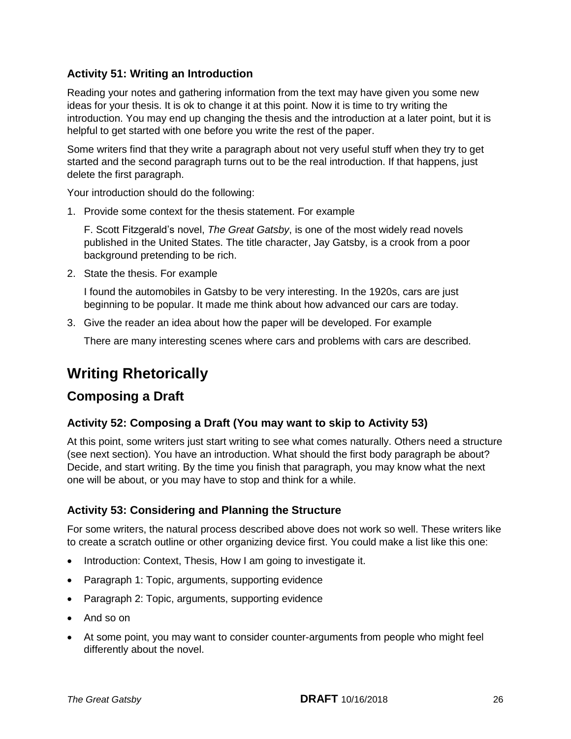#### **Activity 51: Writing an Introduction**

 Reading your notes and gathering information from the text may have given you some new ideas for your thesis. It is ok to change it at this point. Now it is time to try writing the introduction. You may end up changing the thesis and the introduction at a later point, but it is helpful to get started with one before you write the rest of the paper.

 Some writers find that they write a paragraph about not very useful stuff when they try to get started and the second paragraph turns out to be the real introduction. If that happens, just delete the first paragraph.

Your introduction should do the following:

1. Provide some context for the thesis statement. For example

 F. Scott Fitzgerald's novel, *The Great Gatsby*, is one of the most widely read novels published in the United States. The title character, Jay Gatsby, is a crook from a poor background pretending to be rich.

2. State the thesis. For example

 I found the automobiles in Gatsby to be very interesting. In the 1920s, cars are just beginning to be popular. It made me think about how advanced our cars are today.

3. Give the reader an idea about how the paper will be developed. For example

There are many interesting scenes where cars and problems with cars are described.

# **Writing Rhetorically**

#### **Composing a Draft**

#### **Activity 52: Composing a Draft (You may want to skip to Activity 53)**

 At this point, some writers just start writing to see what comes naturally. Others need a structure (see next section). You have an introduction. What should the first body paragraph be about? Decide, and start writing. By the time you finish that paragraph, you may know what the next one will be about, or you may have to stop and think for a while.

#### **Activity 53: Considering and Planning the Structure**

 For some writers, the natural process described above does not work so well. These writers like to create a scratch outline or other organizing device first. You could make a list like this one:

- Introduction: Context, Thesis, How I am going to investigate it.
- Paragraph 1: Topic, arguments, supporting evidence
- Paragraph 2: Topic, arguments, supporting evidence
- And so on
- At some point, you may want to consider counter-arguments from people who might feel differently about the novel.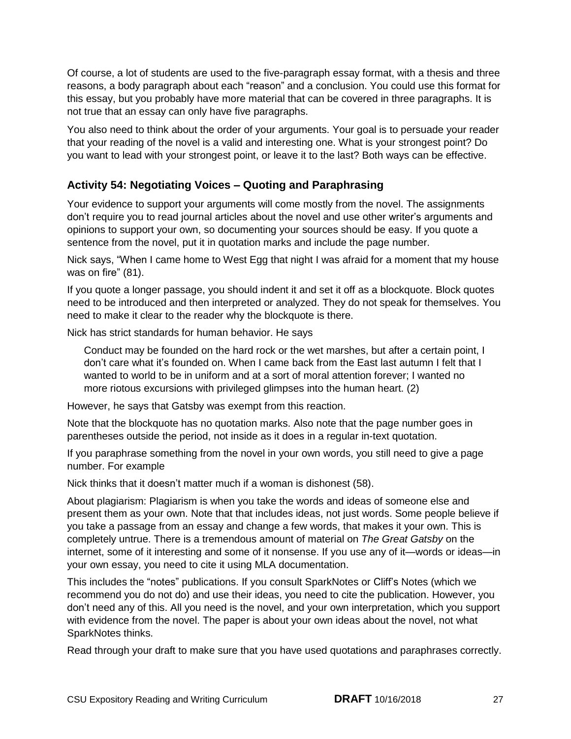Of course, a lot of students are used to the five-paragraph essay format, with a thesis and three reasons, a body paragraph about each "reason" and a conclusion. You could use this format for this essay, but you probably have more material that can be covered in three paragraphs. It is not true that an essay can only have five paragraphs.

 You also need to think about the order of your arguments. Your goal is to persuade your reader that your reading of the novel is a valid and interesting one. What is your strongest point? Do you want to lead with your strongest point, or leave it to the last? Both ways can be effective.

#### **Activity 54: Negotiating Voices – Quoting and Paraphrasing**

 Your evidence to support your arguments will come mostly from the novel. The assignments don't require you to read journal articles about the novel and use other writer's arguments and opinions to support your own, so documenting your sources should be easy. If you quote a sentence from the novel, put it in quotation marks and include the page number.

 Nick says, "When I came home to West Egg that night I was afraid for a moment that my house was on fire" (81).

 If you quote a longer passage, you should indent it and set it off as a blockquote. Block quotes need to be introduced and then interpreted or analyzed. They do not speak for themselves. You need to make it clear to the reader why the blockquote is there.

Nick has strict standards for human behavior. He says

 Conduct may be founded on the hard rock or the wet marshes, but after a certain point, I don't care what it's founded on. When I came back from the East last autumn I felt that I wanted to world to be in uniform and at a sort of moral attention forever; I wanted no more riotous excursions with privileged glimpses into the human heart. (2)

However, he says that Gatsby was exempt from this reaction.

 Note that the blockquote has no quotation marks. Also note that the page number goes in parentheses outside the period, not inside as it does in a regular in-text quotation.

 If you paraphrase something from the novel in your own words, you still need to give a page number. For example

Nick thinks that it doesn't matter much if a woman is dishonest (58).

 About plagiarism: Plagiarism is when you take the words and ideas of someone else and present them as your own. Note that that includes ideas, not just words. Some people believe if you take a passage from an essay and change a few words, that makes it your own. This is completely untrue. There is a tremendous amount of material on *The Great Gatsby* on the internet, some of it interesting and some of it nonsense. If you use any of it—words or ideas—in your own essay, you need to cite it using MLA documentation.

 This includes the "notes" publications. If you consult SparkNotes or Cliff's Notes (which we recommend you do not do) and use their ideas, you need to cite the publication. However, you don't need any of this. All you need is the novel, and your own interpretation, which you support with evidence from the novel. The paper is about your own ideas about the novel, not what SparkNotes thinks.

Read through your draft to make sure that you have used quotations and paraphrases correctly.